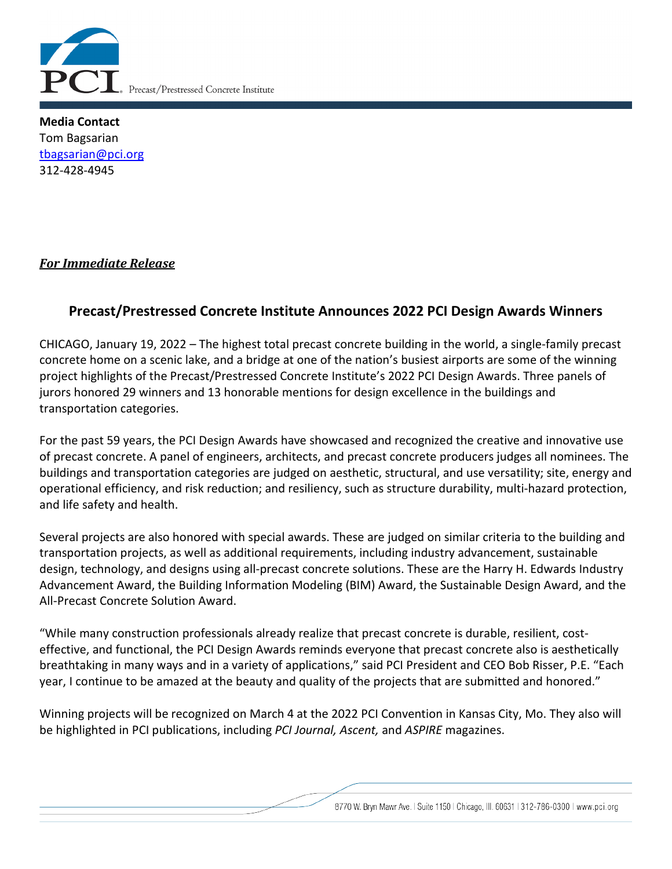

**Media Contact** Tom Bagsarian [tbagsarian@pci.org](mailto:tbagsarian@pci.org) 312-428-4945

# *For Immediate Release*

# **Precast/Prestressed Concrete Institute Announces 2022 PCI Design Awards Winners**

CHICAGO, January 19, 2022 – The highest total precast concrete building in the world, a single-family precast concrete home on a scenic lake, and a bridge at one of the nation's busiest airports are some of the winning project highlights of the Precast/Prestressed Concrete Institute's 2022 PCI Design Awards. Three panels of jurors honored 29 winners and 13 honorable mentions for design excellence in the buildings and transportation categories.

For the past 59 years, the PCI Design Awards have showcased and recognized the creative and innovative use of precast concrete. A panel of engineers, architects, and precast concrete producers judges all nominees. The buildings and transportation categories are judged on aesthetic, structural, and use versatility; site, energy and operational efficiency, and risk reduction; and resiliency, such as structure durability, multi-hazard protection, and life safety and health.

Several projects are also honored with special awards. These are judged on similar criteria to the building and transportation projects, as well as additional requirements, including industry advancement, sustainable design, technology, and designs using all-precast concrete solutions. These are the Harry H. Edwards Industry Advancement Award, the Building Information Modeling (BIM) Award, the Sustainable Design Award, and the All-Precast Concrete Solution Award.

"While many construction professionals already realize that precast concrete is durable, resilient, costeffective, and functional, the PCI Design Awards reminds everyone that precast concrete also is aesthetically breathtaking in many ways and in a variety of applications," said PCI President and CEO Bob Risser, P.E. "Each year, I continue to be amazed at the beauty and quality of the projects that are submitted and honored."

Winning projects will be recognized on March 4 at the 2022 PCI Convention in Kansas City, Mo. They also will be highlighted in PCI publications, including *PCI Journal, Ascent,* and *ASPIRE* magazines.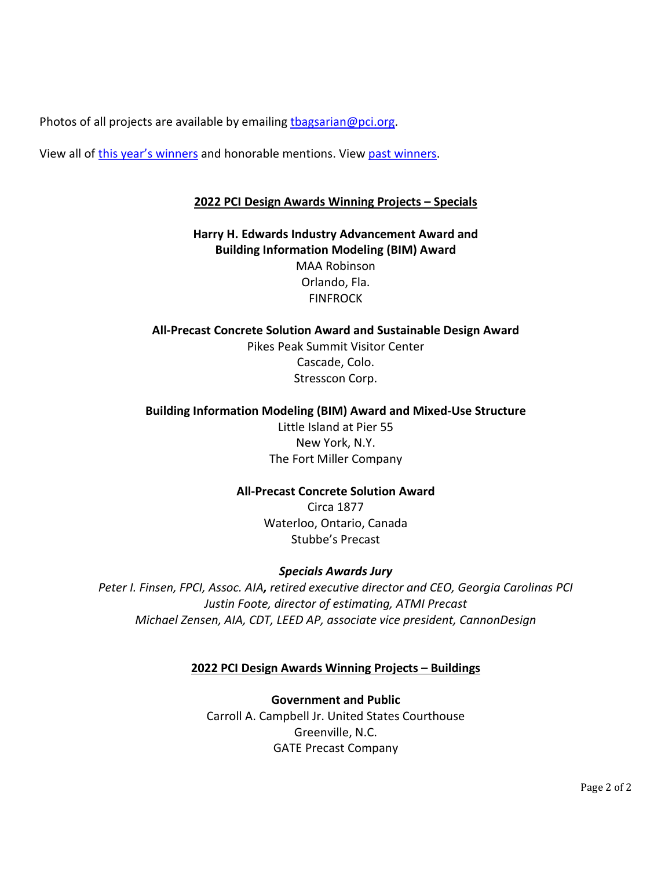Photos of all projects are available by emailin[g tbagsarian@pci.org.](mailto:tbagsarian@pci.org)

View all of [this year's winners](https://www.pci.org/PCI/About/Awards/Design_Awards/Design_Award_Winners?year=22) and honorable mentions. View [past winners.](https://www.pci.org/PCI/About/Awards/PCI_Design_Awards.aspx?hkey=3f6f2132-6844-4ea7-9212-0a919ab73d0a)

# **2022 PCI Design Awards Winning Projects – Specials**

**Harry H. Edwards Industry Advancement Award and Building Information Modeling (BIM) Award** MAA Robinson Orlando, Fla. FINFROCK

**All-Precast Concrete Solution Award and Sustainable Design Award** Pikes Peak Summit Visitor Center Cascade, Colo. Stresscon Corp.

### **Building Information Modeling (BIM) Award and Mixed-Use Structure**

Little Island at Pier 55 New York, N.Y. The Fort Miller Company

# **All-Precast Concrete Solution Award**

Circa 1877 Waterloo, Ontario, Canada Stubbe's Precast

# *Specials Awards Jury*

*Peter I. Finsen, FPCI, Assoc. AIA, retired executive director and CEO, Georgia Carolinas PCI Justin Foote, director of estimating, ATMI Precast Michael Zensen, AIA, CDT, LEED AP, associate vice president, CannonDesign*

### **2022 PCI Design Awards Winning Projects – Buildings**

**Government and Public** Carroll A. Campbell Jr. United States Courthouse Greenville, N.C. GATE Precast Company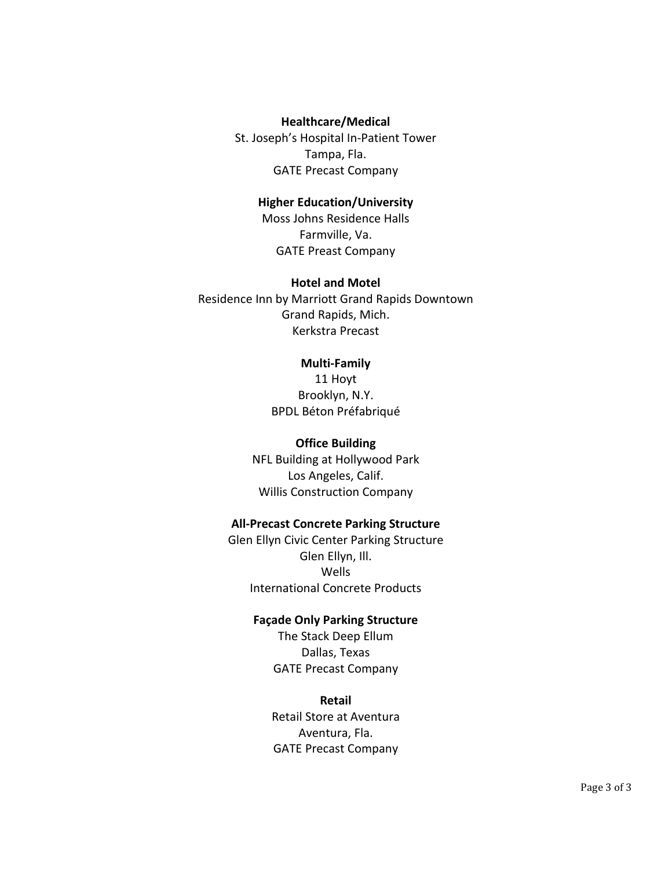#### **Healthcare/Medical**

St. Joseph's Hospital In-Patient Tower Tampa, Fla. GATE Precast Company

### **Higher Education/University**

Moss Johns Residence Halls Farmville, Va. GATE Preast Company

#### **Hotel and Motel**

Residence Inn by Marriott Grand Rapids Downtown Grand Rapids, Mich. Kerkstra Precast

#### **Multi-Family**

11 Hoyt Brooklyn, N.Y. BPDL Béton Préfabriqué

#### **Office Building**

NFL Building at Hollywood Park Los Angeles, Calif. Willis Construction Company

### **All-Precast Concrete Parking Structure**

Glen Ellyn Civic Center Parking Structure Glen Ellyn, Ill. Wells International Concrete Products

#### **Façade Only Parking Structure**

The Stack Deep Ellum Dallas, Texas GATE Precast Company

#### **Retail**

Retail Store at Aventura Aventura, Fla. GATE Precast Company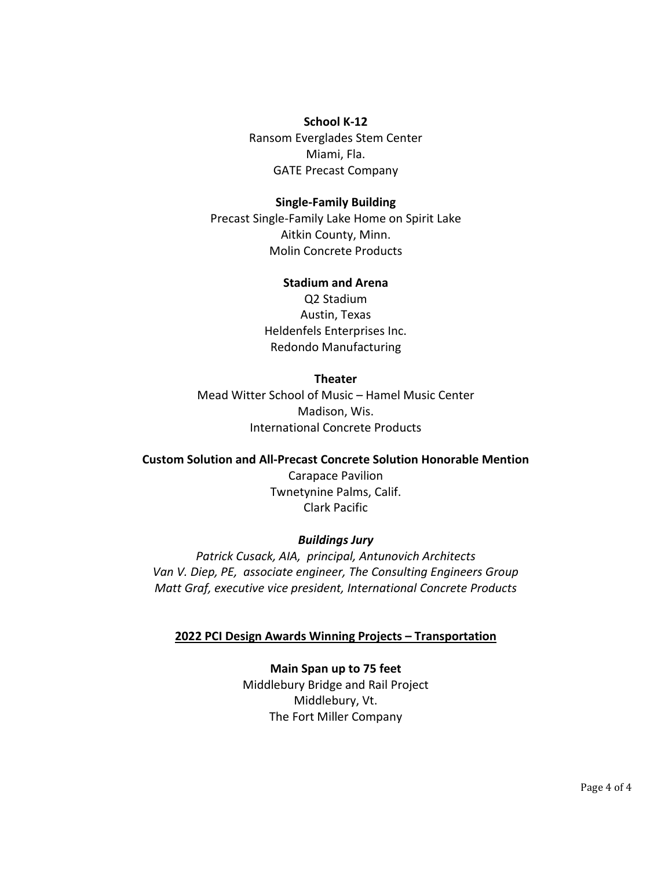#### **School K-12**

Ransom Everglades Stem Center Miami, Fla. GATE Precast Company

#### **Single-Family Building**

Precast Single-Family Lake Home on Spirit Lake Aitkin County, Minn. Molin Concrete Products

#### **Stadium and Arena**

Q2 Stadium Austin, Texas Heldenfels Enterprises Inc. Redondo Manufacturing

### **Theater**

Mead Witter School of Music – Hamel Music Center Madison, Wis. International Concrete Products

**Custom Solution and All-Precast Concrete Solution Honorable Mention** Carapace Pavilion Twnetynine Palms, Calif. Clark Pacific

### *Buildings Jury*

*Patrick Cusack, AIA, principal, Antunovich Architects Van V. Diep, PE, associate engineer, The Consulting Engineers Group Matt Graf, executive vice president, International Concrete Products*

### **2022 PCI Design Awards Winning Projects – Transportation**

**Main Span up to 75 feet** Middlebury Bridge and Rail Project Middlebury, Vt. The Fort Miller Company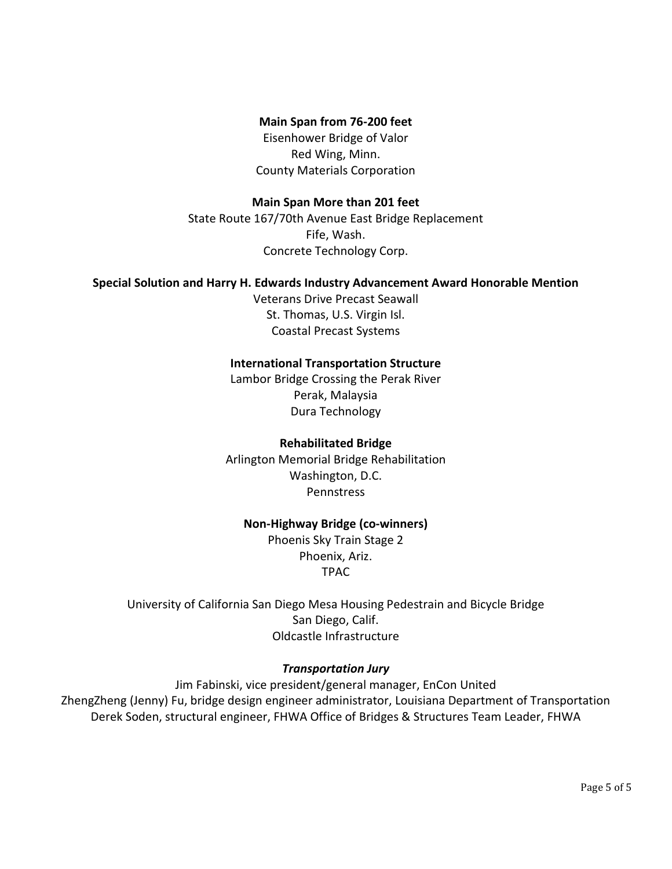# **Main Span from 76-200 feet**

Eisenhower Bridge of Valor Red Wing, Minn. County Materials Corporation

### **Main Span More than 201 feet**

State Route 167/70th Avenue East Bridge Replacement Fife, Wash. Concrete Technology Corp.

#### **Special Solution and Harry H. Edwards Industry Advancement Award Honorable Mention**

Veterans Drive Precast Seawall St. Thomas, U.S. Virgin Isl. Coastal Precast Systems

#### **International Transportation Structure**

Lambor Bridge Crossing the Perak River Perak, Malaysia Dura Technology

#### **Rehabilitated Bridge**

Arlington Memorial Bridge Rehabilitation Washington, D.C. **Pennstress** 

### **Non-Highway Bridge (co-winners)**

Phoenis Sky Train Stage 2 Phoenix, Ariz. TPAC

University of California San Diego Mesa Housing Pedestrain and Bicycle Bridge San Diego, Calif. Oldcastle Infrastructure

### *Transportation Jury*

Jim Fabinski, vice president/general manager, EnCon United ZhengZheng (Jenny) Fu, bridge design engineer administrator, Louisiana Department of Transportation Derek Soden, structural engineer, FHWA Office of Bridges & Structures Team Leader, FHWA